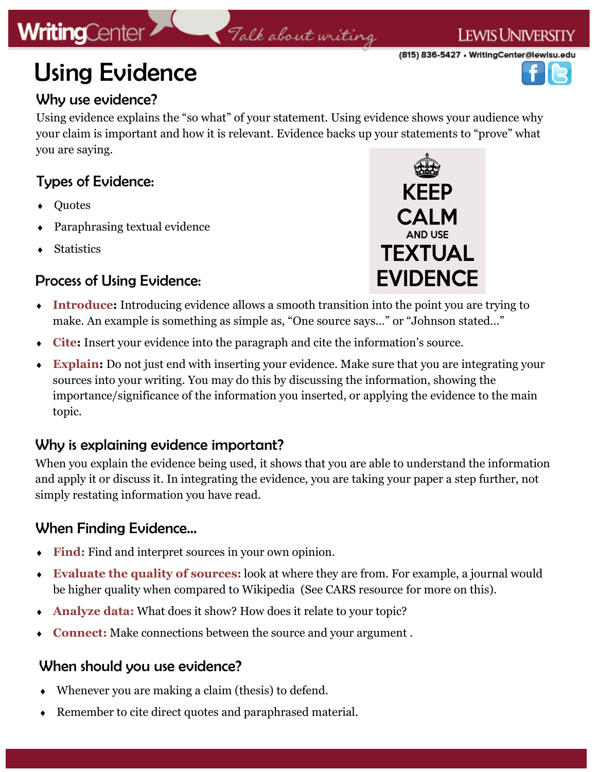# **WritingCenter**

#### **LEWIS UNIVERSITY**

(815) 836-5427 • WritingCenter@lewisu.edu



# Using Evidence

## Why use evidence?

Using evidence explains the "so what" of your statement. Using evidence shows your audience why your claim is important and how it is relevant. Evidence backs up your statements to "prove" what you are saying.

Talk about writing

# Types of Evidence:

- **Ouotes**
- Paraphrasing textual evidence
- **Statistics**

## Process of Using Evidence:



- **Introduce:** Introducing evidence allows a smooth transition into the point you are trying to make. An example is something as simple as, "One source says…" or "Johnson stated…"
- **Cite:** Insert your evidence into the paragraph and cite the information's source.
- **Explain:** Do not just end with inserting your evidence. Make sure that you are integrating your sources into your writing. You may do this by discussing the information, showing the importance/significance of the information you inserted, or applying the evidence to the main topic.

## Why is explaining evidence important?

When you explain the evidence being used, it shows that you are able to understand the information and apply it or discuss it. In integrating the evidence, you are taking your paper a step further, not simply restating information you have read.

## When Finding Evidence…

- **Find:** Find and interpret sources in your own opinion.
- **Evaluate the quality of sources:** look at where they are from. For example, a journal would be higher quality when compared to Wikipedia (See CARS resource for more on this).
- **Analyze data:** What does it show? How does it relate to your topic?
- **Connect:** Make connections between the source and your argument .

#### When should you use evidence?

- Whenever you are making a claim (thesis) to defend.
- Remember to cite direct quotes and paraphrased material.